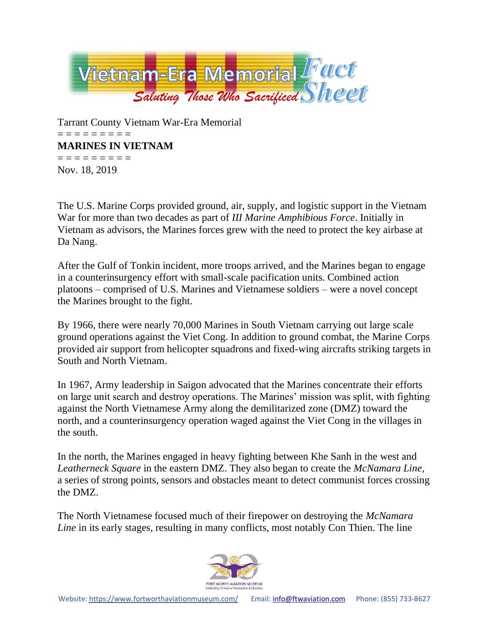

Tarrant County Vietnam War-Era Memorial = = = = = = = = = **MARINES IN VIETNAM** = = = = = = = = = Nov. 18, 2019

The U.S. Marine Corps provided ground, air, supply, and logistic support in the Vietnam War for more than two decades as part of *III Marine Amphibious Force*. Initially in Vietnam as advisors, the Marines forces grew with the need to protect the key airbase at Da Nang.

After the Gulf of Tonkin incident, more troops arrived, and the Marines began to engage in a counterinsurgency effort with small-scale pacification units. Combined action platoons – comprised of U.S. Marines and Vietnamese soldiers – were a novel concept the Marines brought to the fight.

By 1966, there were nearly 70,000 Marines in South Vietnam carrying out large scale ground operations against the Viet Cong. In addition to ground combat, the Marine Corps provided air support from helicopter squadrons and fixed-wing aircrafts striking targets in South and North Vietnam.

In 1967, Army leadership in Saigon advocated that the Marines concentrate their efforts on large unit search and destroy operations. The Marines' mission was split, with fighting against the North Vietnamese Army along the demilitarized zone (DMZ) toward the north, and a counterinsurgency operation waged against the Viet Cong in the villages in the south.

In the north, the Marines engaged in heavy fighting between Khe Sanh in the west and *Leatherneck Square* in the eastern DMZ. They also began to create the *McNamara Line*, a series of strong points, sensors and obstacles meant to detect communist forces crossing the DMZ.

The North Vietnamese focused much of their firepower on destroying the *McNamara Line* in its early stages, resulting in many conflicts, most notably Con Thien. The line

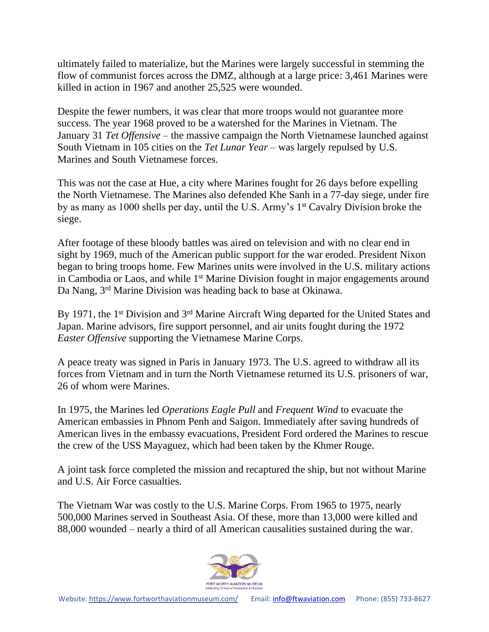ultimately failed to materialize, but the Marines were largely successful in stemming the flow of communist forces across the DMZ, although at a large price: 3,461 Marines were killed in action in 1967 and another 25,525 were wounded.

Despite the fewer numbers, it was clear that more troops would not guarantee more success. The year 1968 proved to be a watershed for the Marines in Vietnam. The January 31 *Tet Offensive* – the massive campaign the North Vietnamese launched against South Vietnam in 105 cities on the *Tet Lunar Year* – was largely repulsed by U.S. Marines and South Vietnamese forces.

This was not the case at Hue, a city where Marines fought for 26 days before expelling the North Vietnamese. The Marines also defended Khe Sanh in a 77-day siege, under fire by as many as 1000 shells per day, until the U.S. Army's 1<sup>st</sup> Cavalry Division broke the siege.

After footage of these bloody battles was aired on television and with no clear end in sight by 1969, much of the American public support for the war eroded. President Nixon began to bring troops home. Few Marines units were involved in the U.S. military actions in Cambodia or Laos, and while 1<sup>st</sup> Marine Division fought in major engagements around Da Nang, 3rd Marine Division was heading back to base at Okinawa.

By 1971, the 1<sup>st</sup> Division and 3<sup>rd</sup> Marine Aircraft Wing departed for the United States and Japan. Marine advisors, fire support personnel, and air units fought during the 1972 *Easter Offensive* supporting the Vietnamese Marine Corps.

A peace treaty was signed in Paris in January 1973. The U.S. agreed to withdraw all its forces from Vietnam and in turn the North Vietnamese returned its U.S. prisoners of war, 26 of whom were Marines.

In 1975, the Marines led *Operations Eagle Pull* and *Frequent Wind* to evacuate the American embassies in Phnom Penh and Saigon. Immediately after saving hundreds of American lives in the embassy evacuations, President Ford ordered the Marines to rescue the crew of the USS Mayaguez, which had been taken by the Khmer Rouge.

A joint task force completed the mission and recaptured the ship, but not without Marine and U.S. Air Force casualties.

The Vietnam War was costly to the U.S. Marine Corps. From 1965 to 1975, nearly 500,000 Marines served in Southeast Asia. Of these, more than 13,000 were killed and 88,000 wounded – nearly a third of all American causalities sustained during the war.